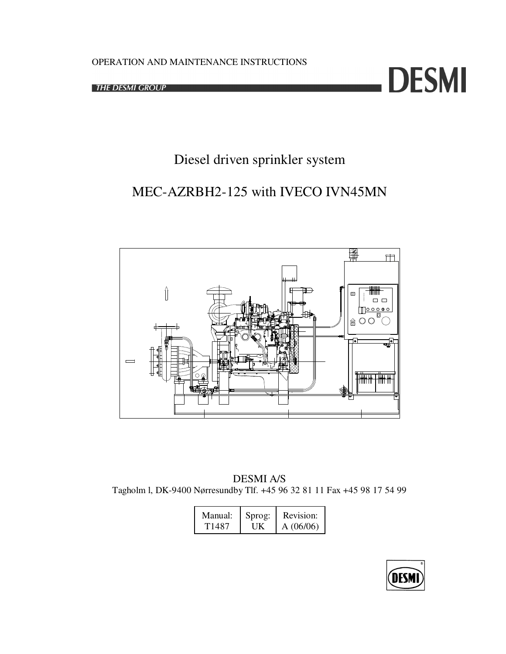**THE DESMI GROUP** 



# Diesel driven sprinkler system

# MEC-AZRBH2-125 with IVECO IVN45MN



DESMI A/S Tagholm l, DK-9400 Nørresundby Tlf. +45 96 32 81 11 Fax +45 98 17 54 99

| Manual: | Sprog: | Revision: |
|---------|--------|-----------|
| T1487.  | ШK     | A(06/06)  |

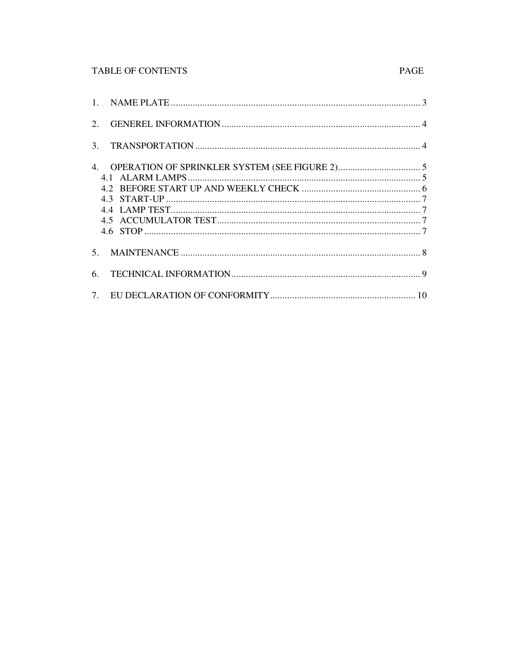# TABLE OF CONTENTS

| 2.             |  |
|----------------|--|
| 3 <sub>1</sub> |  |
|                |  |
| 5.             |  |
| 6.             |  |
|                |  |

# PAGE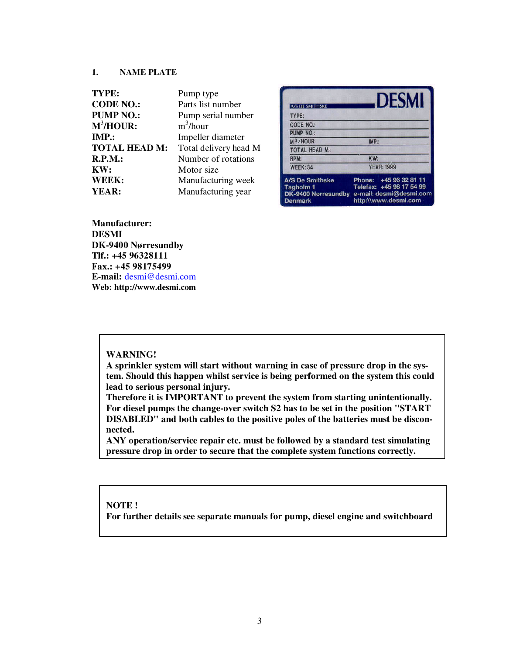#### **1. NAME PLATE**

| TYPE:                | Pump type             |
|----------------------|-----------------------|
| <b>CODE NO.:</b>     | Parts list number     |
| <b>PUMP NO.:</b>     | Pump serial number    |
| $M^3/HOUR$ :         | $m^3/h$ our           |
| IMP.                 | Impeller diameter     |
| <b>TOTAL HEAD M:</b> | Total delivery head M |
| R.P.M.:              | Number of rotations   |
| KW:                  | Motor size            |
| WEEK:                | Manufacturing week    |
| YEAR:                | Manufacturing year    |

|                                                                              |       | <b>DESMI</b>                                                                                          |
|------------------------------------------------------------------------------|-------|-------------------------------------------------------------------------------------------------------|
| <b>A/S DE SMITHSKE</b>                                                       |       |                                                                                                       |
| TYPE:                                                                        |       |                                                                                                       |
| CODE NO.:                                                                    |       |                                                                                                       |
| PUMP NO.:                                                                    |       |                                                                                                       |
| M <sub>3/HOUR</sub> :                                                        | IMP.: |                                                                                                       |
| <b>TOTAL HEAD M.:</b>                                                        |       |                                                                                                       |
| RPM:                                                                         | KW:   |                                                                                                       |
| WEEK: 34                                                                     |       | <b>YEAR: 1999</b>                                                                                     |
| <b>A/S De Smithske</b><br>Tagholm 1<br>DK-9400 Norresundby<br><b>Denmark</b> |       | Phone: +45 96 32 81 11<br>Telefax: +45 98 17 54 99<br>e-mail: desmi@desmi.com<br>http://www.desmi.com |

**Manufacturer: DESMI DK-9400 Nørresundby Tlf.: +45 96328111 Fax.: +45 98175499 E-mail:** desmi@desmi.com **Web: http://www.desmi.com**

### **WARNING!**

**A sprinkler system will start without warning in case of pressure drop in the system. Should this happen whilst service is being performed on the system this could lead to serious personal injury.**

**Therefore it is IMPORTANT to prevent the system from starting unintentionally. For diesel pumps the change-over switch S2 has to be set in the position "START DISABLED" and both cables to the positive poles of the batteries must be disconnected.**

**ANY operation/service repair etc. must be followed by a standard test simulating pressure drop in order to secure that the complete system functions correctly.**

#### **NOTE !**

**For further details see separate manuals for pump, diesel engine and switchboard**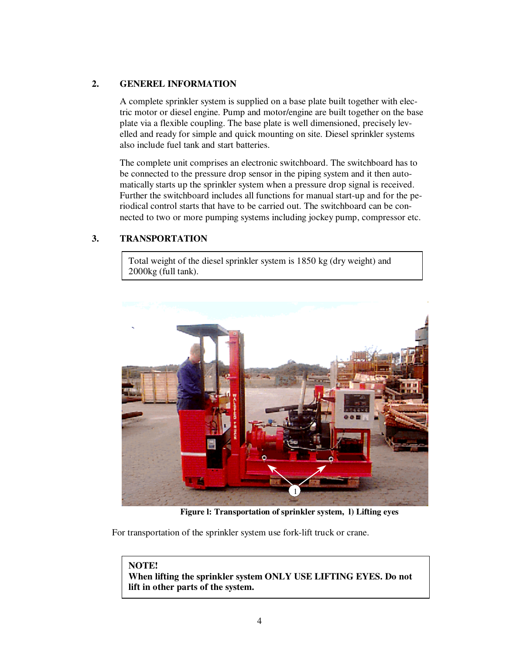# **2. GENEREL INFORMATION**

A complete sprinkler system is supplied on a base plate built together with electric motor or diesel engine. Pump and motor/engine are built together on the base plate via a flexible coupling. The base plate is well dimensioned, precisely levelled and ready for simple and quick mounting on site. Diesel sprinkler systems also include fuel tank and start batteries.

The complete unit comprises an electronic switchboard. The switchboard has to be connected to the pressure drop sensor in the piping system and it then automatically starts up the sprinkler system when a pressure drop signal is received. Further the switchboard includes all functions for manual start-up and for the periodical control starts that have to be carried out. The switchboard can be connected to two or more pumping systems including jockey pump, compressor etc.

# **3. TRANSPORTATION**

Total weight of the diesel sprinkler system is 1850 kg (dry weight) and 2000kg (full tank).



**Figure l: Transportation of sprinkler system, l) Lifting eyes**

For transportation of the sprinkler system use fork-lift truck or crane.

### **NOTE!**

**When lifting the sprinkler system ONLY USE LIFTING EYES. Do not lift in other parts of the system.**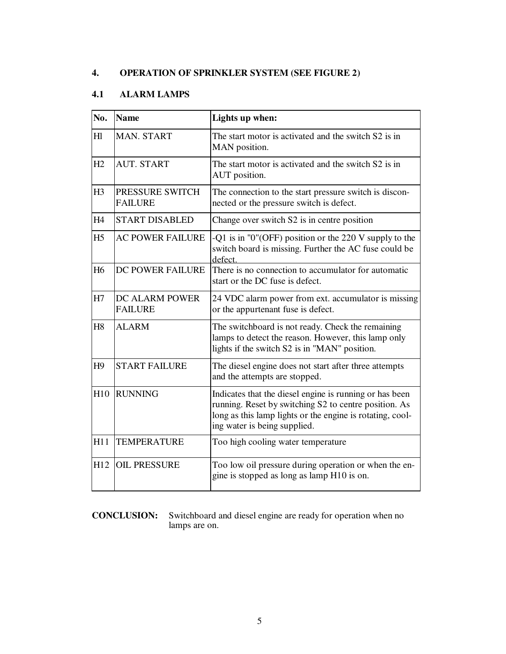# **4. OPERATION OF SPRINKLER SYSTEM (SEE FIGURE 2)**

# **4.1 ALARM LAMPS**

| No.            | <b>Name</b>                       | Lights up when:                                                                                                                                                                                               |
|----------------|-----------------------------------|---------------------------------------------------------------------------------------------------------------------------------------------------------------------------------------------------------------|
| H1             | <b>MAN. START</b>                 | The start motor is activated and the switch S2 is in<br>MAN position.                                                                                                                                         |
| H2             | <b>AUT. START</b>                 | The start motor is activated and the switch S2 is in<br>AUT position.                                                                                                                                         |
| H3             | PRESSURE SWITCH<br><b>FAILURE</b> | The connection to the start pressure switch is discon-<br>nected or the pressure switch is defect.                                                                                                            |
| H4             | <b>START DISABLED</b>             | Change over switch S2 is in centre position                                                                                                                                                                   |
| H <sub>5</sub> | <b>AC POWER FAILURE</b>           | -Q1 is in "0"(OFF) position or the 220 V supply to the<br>switch board is missing. Further the AC fuse could be<br>defect.                                                                                    |
| H <sub>6</sub> | DC POWER FAILURE                  | There is no connection to accumulator for automatic<br>start or the DC fuse is defect.                                                                                                                        |
| H7             | DC ALARM POWER<br><b>FAILURE</b>  | 24 VDC alarm power from ext. accumulator is missing<br>or the appurtenant fuse is defect.                                                                                                                     |
| H <sub>8</sub> | <b>ALARM</b>                      | The switchboard is not ready. Check the remaining<br>lamps to detect the reason. However, this lamp only<br>lights if the switch S2 is in "MAN" position.                                                     |
| H <sub>9</sub> | <b>START FAILURE</b>              | The diesel engine does not start after three attempts<br>and the attempts are stopped.                                                                                                                        |
| H10            | <b>RUNNING</b>                    | Indicates that the diesel engine is running or has been<br>running. Reset by switching S2 to centre position. As<br>long as this lamp lights or the engine is rotating, cool-<br>ing water is being supplied. |
| H11            | <b>TEMPERATURE</b>                | Too high cooling water temperature                                                                                                                                                                            |
| H12            | <b>OIL PRESSURE</b>               | Too low oil pressure during operation or when the en-<br>gine is stopped as long as lamp H10 is on.                                                                                                           |

### **CONCLUSION:** Switchboard and diesel engine are ready for operation when no lamps are on.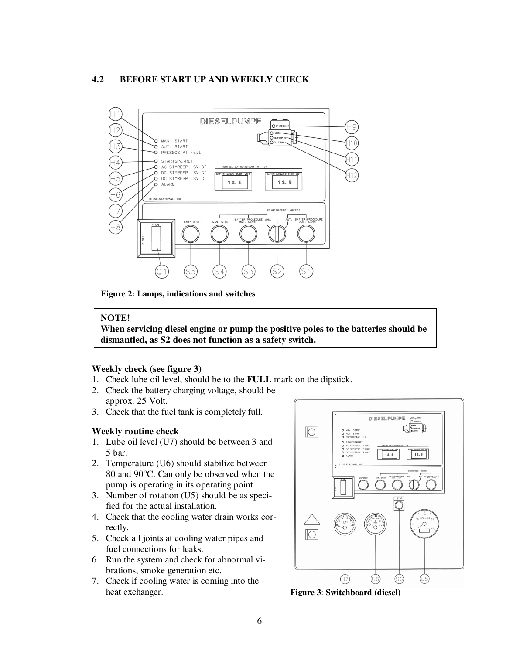### **4.2 BEFORE START UP AND WEEKLY CHECK**



**Figure 2: Lamps, indications and switches**

#### **NOTE!**

**When servicing diesel engine or pump the positive poles to the batteries should be dismantled, as S2 does not function as a safety switch.**

#### **Weekly check (see figure 3)**

- 1. Check lube oil level, should be to the **FULL** mark on the dipstick.
- 2. Check the battery charging voltage, should be approx. 25 Volt.
- 3. Check that the fuel tank is completely full.

#### **Weekly routine check**

- 1. Lube oil level (U7) should be between 3 and 5 bar.
- 2. Temperature (U6) should stabilize between 80 and 90°C. Can only be observed when the pump is operating in its operating point.
- 3. Number of rotation (U5) should be as specified for the actual installation.
- 4. Check that the cooling water drain works correctly.
- 5. Check all joints at cooling water pipes and fuel connections for leaks.
- 6. Run the system and check for abnormal vibrations, smoke generation etc.
- 7. Check if cooling water is coming into the heat exchanger.



**Figure 3**: **Switchboard (diesel)**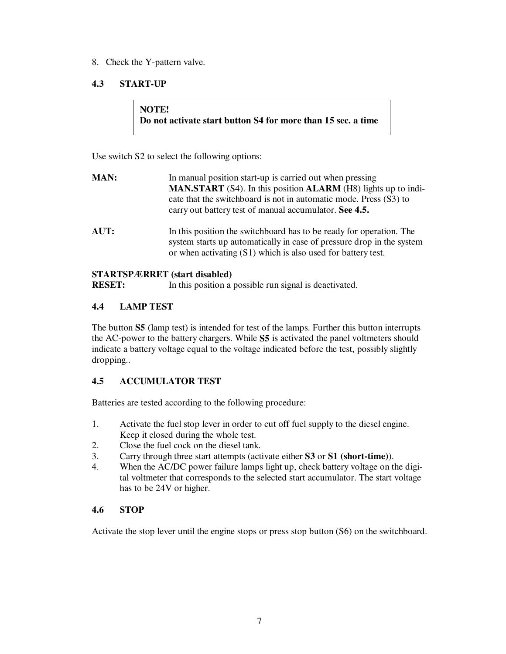8. Check the Y-pattern valve.

# **4.3 START-UP**

# **NOTE! Do not activate start button S4 for more than 15 sec. a time**

Use switch S2 to select the following options:

| <b>MAN:</b> | In manual position start-up is carried out when pressing<br><b>MAN.START</b> (S4). In this position <b>ALARM</b> (H8) lights up to indi-<br>cate that the switchboard is not in automatic mode. Press (S3) to<br>carry out battery test of manual accumulator. See 4.5. |
|-------------|-------------------------------------------------------------------------------------------------------------------------------------------------------------------------------------------------------------------------------------------------------------------------|
| AUT:        | In this position the switchboard has to be ready for operation. The<br>system starts up automatically in case of pressure drop in the system<br>or when activating (S1) which is also used for battery test.                                                            |

# **STARTSPÆRRET (start disabled)**

**RESET:** In this position a possible run signal is deactivated.

# **4.4 LAMP TEST**

The button **S5** (lamp test) is intended for test of the lamps. Further this button interrupts the AC-power to the battery chargers. While **S5** is activated the panel voltmeters should indicate a battery voltage equal to the voltage indicated before the test, possibly slightly dropping..

# **4.5 ACCUMULATOR TEST**

Batteries are tested according to the following procedure:

- 1. Activate the fuel stop lever in order to cut off fuel supply to the diesel engine. Keep it closed during the whole test.
- 2. Close the fuel cock on the diesel tank.
- 3. Carry through three start attempts (activate either **S3** or **S1 (short-time)**).
- 4. When the AC/DC power failure lamps light up, check battery voltage on the digital voltmeter that corresponds to the selected start accumulator. The start voltage has to be 24V or higher.

# **4.6 STOP**

Activate the stop lever until the engine stops or press stop button (S6) on the switchboard.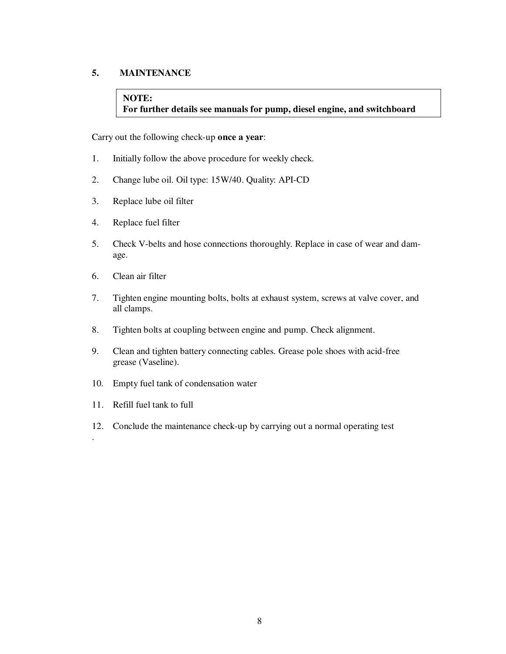# **5. MAINTENANCE**

# **NOTE: For further details see manuals for pump, diesel engine, and switchboard**

Carry out the following check-up **once a year**:

- 1. Initially follow the above procedure for weekly check.
- 2. Change lube oil. Oil type: 15W/40. Quality: API-CD
- 3. Replace lube oil filter
- 4. Replace fuel filter
- 5. Check V-belts and hose connections thoroughly. Replace in case of wear and damage.
- 6. Clean air filter
- 7. Tighten engine mounting bolts, bolts at exhaust system, screws at valve cover, and all clamps.
- 8. Tighten bolts at coupling between engine and pump. Check alignment.
- 9. Clean and tighten battery connecting cables. Grease pole shoes with acid-free grease (Vaseline).
- 10. Empty fuel tank of condensation water
- 11. Refill fuel tank to full

.

12. Conclude the maintenance check-up by carrying out a normal operating test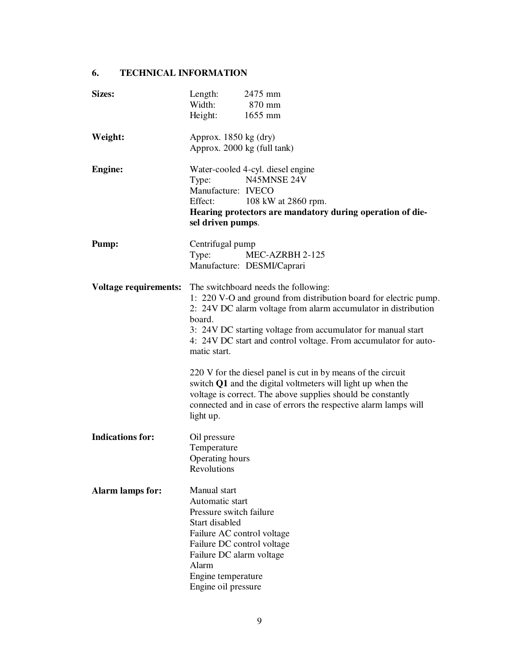# **6. TECHNICAL INFORMATION**

| <b>Sizes:</b>                                                     | Length:<br>Width:                                                                                                                                                                                                          | 2475 mm<br>870 mm                                                                                                                                                                                                                                                     |
|-------------------------------------------------------------------|----------------------------------------------------------------------------------------------------------------------------------------------------------------------------------------------------------------------------|-----------------------------------------------------------------------------------------------------------------------------------------------------------------------------------------------------------------------------------------------------------------------|
|                                                                   | Height:                                                                                                                                                                                                                    | 1655 mm                                                                                                                                                                                                                                                               |
| Weight:                                                           | Approx. $1850 \text{ kg (dry)}$<br>Approx. 2000 kg (full tank)                                                                                                                                                             |                                                                                                                                                                                                                                                                       |
| <b>Engine:</b>                                                    | Type:<br>Manufacture: IVECO<br>Effect:<br>sel driven pumps.                                                                                                                                                                | Water-cooled 4-cyl. diesel engine<br>N45MNSE 24V<br>108 kW at 2860 rpm.<br>Hearing protectors are mandatory during operation of die-                                                                                                                                  |
| Pump:                                                             | Centrifugal pump<br>Type:                                                                                                                                                                                                  | MEC-AZRBH 2-125<br>Manufacture: DESMI/Caprari                                                                                                                                                                                                                         |
| <b>Voltage requirements:</b> The switchboard needs the following: | board.<br>matic start.                                                                                                                                                                                                     | 1: 220 V-O and ground from distribution board for electric pump.<br>2: 24V DC alarm voltage from alarm accumulator in distribution<br>3: 24V DC starting voltage from accumulator for manual start<br>4: 24V DC start and control voltage. From accumulator for auto- |
|                                                                   | light up.                                                                                                                                                                                                                  | 220 V for the diesel panel is cut in by means of the circuit<br>switch Q1 and the digital voltmeters will light up when the<br>voltage is correct. The above supplies should be constantly<br>connected and in case of errors the respective alarm lamps will         |
| <b>Indications for:</b>                                           | Oil pressure<br>Temperature<br>Operating hours<br>Revolutions                                                                                                                                                              |                                                                                                                                                                                                                                                                       |
| <b>Alarm lamps for:</b>                                           | Manual start<br>Automatic start<br>Pressure switch failure<br>Start disabled<br>Failure AC control voltage<br>Failure DC control voltage<br>Failure DC alarm voltage<br>Alarm<br>Engine temperature<br>Engine oil pressure |                                                                                                                                                                                                                                                                       |